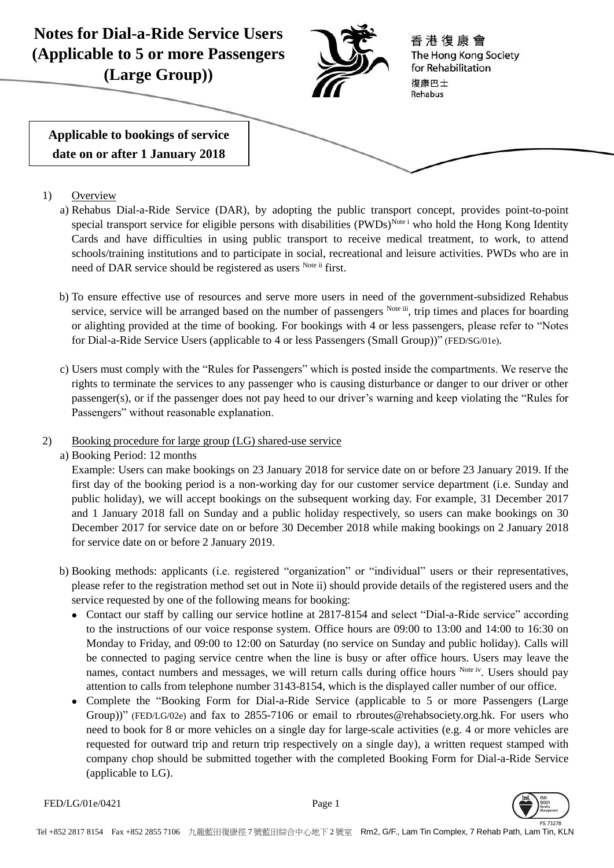

- 1) Overview
	- a) Rehabus Dial-a-Ride Service (DAR), by adopting the public transport concept, provides point-to-point special transport service for eligible persons with disabilities (PWDs)<sup>Note i</sup> who hold the Hong Kong Identity Cards and have difficulties in using public transport to receive medical treatment, to work, to attend schools/training institutions and to participate in social, recreational and leisure activities. PWDs who are in need of DAR service should be registered as users Note ii first.
	- b) To ensure effective use of resources and serve more users in need of the government-subsidized Rehabus service, service will be arranged based on the number of passengers Note iii, trip times and places for boarding or alighting provided at the time of booking. For bookings with 4 or less passengers, please refer to "Notes for Dial-a-Ride Service Users (applicable to 4 or less Passengers (Small Group))" (FED/SG/01e).
	- c) Users must comply with the "Rules for Passengers" which is posted inside the compartments. We reserve the rights to terminate the services to any passenger who is causing disturbance or danger to our driver or other passenger(s), or if the passenger does not pay heed to our driver's warning and keep violating the "Rules for Passengers" without reasonable explanation.
- 2) Booking procedure for large group (LG) shared-use service
	- a) Booking Period: 12 months

Example: Users can make bookings on 23 January 2018 for service date on or before 23 January 2019. If the first day of the booking period is a non-working day for our customer service department (i.e. Sunday and public holiday), we will accept bookings on the subsequent working day. For example, 31 December 2017 and 1 January 2018 fall on Sunday and a public holiday respectively, so users can make bookings on 30 December 2017 for service date on or before 30 December 2018 while making bookings on 2 January 2018 for service date on or before 2 January 2019.

- b) Booking methods: applicants (i.e. registered "organization" or "individual" users or their representatives, please refer to the registration method set out in Note ii) should provide details of the registered users and the service requested by one of the following means for booking:
	- Contact our staff by calling our service hotline at 2817-8154 and select "Dial-a-Ride service" according to the instructions of our voice response system. Office hours are 09:00 to 13:00 and 14:00 to 16:30 on Monday to Friday, and 09:00 to 12:00 on Saturday (no service on Sunday and public holiday). Calls will be connected to paging service centre when the line is busy or after office hours. Users may leave the names, contact numbers and messages, we will return calls during office hours Note iv. Users should pay attention to calls from telephone number 3143-8154, which is the displayed caller number of our office.
	- Complete the "Booking Form for Dial-a-Ride Service (applicable to 5 or more Passengers (Large Group))" (FED/LG/02e) and fax to 2855-7106 or email to rbroutes@rehabsociety.org.hk. For users who need to book for 8 or more vehicles on a single day for large-scale activities (e.g. 4 or more vehicles are requested for outward trip and return trip respectively on a single day), a written request stamped with company chop should be submitted together with the completed Booking Form for Dial-a-Ride Service (applicable to LG).

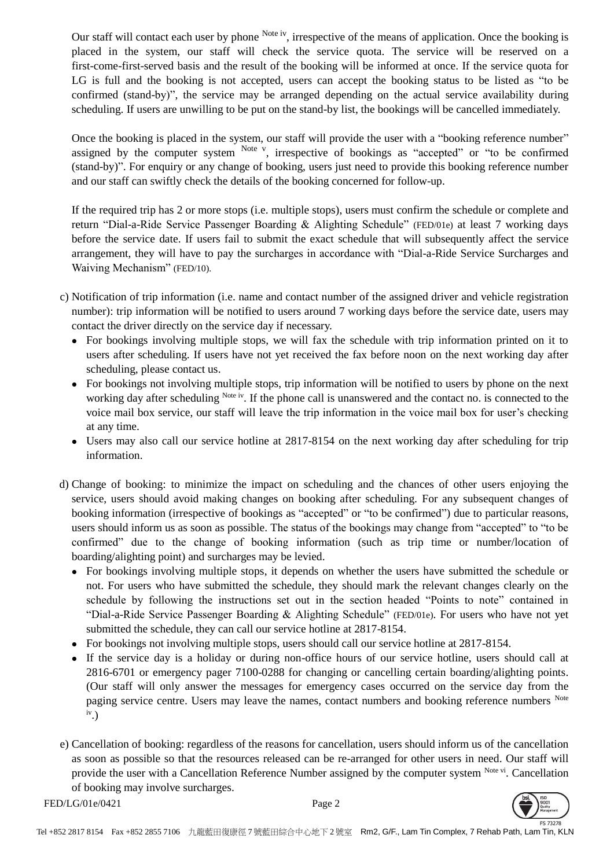Our staff will contact each user by phone <sup>Note iv</sup>, irrespective of the means of application. Once the booking is placed in the system, our staff will check the service quota. The service will be reserved on a first-come-first-served basis and the result of the booking will be informed at once. If the service quota for LG is full and the booking is not accepted, users can accept the booking status to be listed as "to be confirmed (stand-by)", the service may be arranged depending on the actual service availability during scheduling. If users are unwilling to be put on the stand-by list, the bookings will be cancelled immediately.

Once the booking is placed in the system, our staff will provide the user with a "booking reference number" assigned by the computer system Note v, irrespective of bookings as "accepted" or "to be confirmed (stand-by)". For enquiry or any change of booking, users just need to provide this booking reference number and our staff can swiftly check the details of the booking concerned for follow-up.

If the required trip has 2 or more stops (i.e. multiple stops), users must confirm the schedule or complete and return "Dial-a-Ride Service Passenger Boarding & Alighting Schedule" (FED/01e) at least 7 working days before the service date. If users fail to submit the exact schedule that will subsequently affect the service arrangement, they will have to pay the surcharges in accordance with "Dial-a-Ride Service Surcharges and Waiving Mechanism" (FED/10).

- c) Notification of trip information (i.e. name and contact number of the assigned driver and vehicle registration number): trip information will be notified to users around 7 working days before the service date, users may contact the driver directly on the service day if necessary.
	- For bookings involving multiple stops, we will fax the schedule with trip information printed on it to users after scheduling. If users have not yet received the fax before noon on the next working day after scheduling, please contact us.
	- For bookings not involving multiple stops, trip information will be notified to users by phone on the next working day after scheduling Note iv. If the phone call is unanswered and the contact no. is connected to the voice mail box service, our staff will leave the trip information in the voice mail box for user's checking at any time.
	- Users may also call our service hotline at 2817-8154 on the next working day after scheduling for trip information.
- d) Change of booking: to minimize the impact on scheduling and the chances of other users enjoying the service, users should avoid making changes on booking after scheduling. For any subsequent changes of booking information (irrespective of bookings as "accepted" or "to be confirmed") due to particular reasons, users should inform us as soon as possible. The status of the bookings may change from "accepted" to "to be confirmed" due to the change of booking information (such as trip time or number/location of boarding/alighting point) and surcharges may be levied.
	- For bookings involving multiple stops, it depends on whether the users have submitted the schedule or not. For users who have submitted the schedule, they should mark the relevant changes clearly on the schedule by following the instructions set out in the section headed "Points to note" contained in "Dial-a-Ride Service Passenger Boarding & Alighting Schedule" (FED/01e). For users who have not yet submitted the schedule, they can call our service hotline at 2817-8154.
	- For bookings not involving multiple stops, users should call our service hotline at 2817-8154.
	- If the service day is a holiday or during non-office hours of our service hotline, users should call at 2816-6701 or emergency pager 7100-0288 for changing or cancelling certain boarding/alighting points. (Our staff will only answer the messages for emergency cases occurred on the service day from the paging service centre. Users may leave the names, contact numbers and booking reference numbers Note iv .)
- e) Cancellation of booking: regardless of the reasons for cancellation, users should inform us of the cancellation as soon as possible so that the resources released can be re-arranged for other users in need. Our staff will provide the user with a Cancellation Reference Number assigned by the computer system Note vi. Cancellation of booking may involve surcharges.

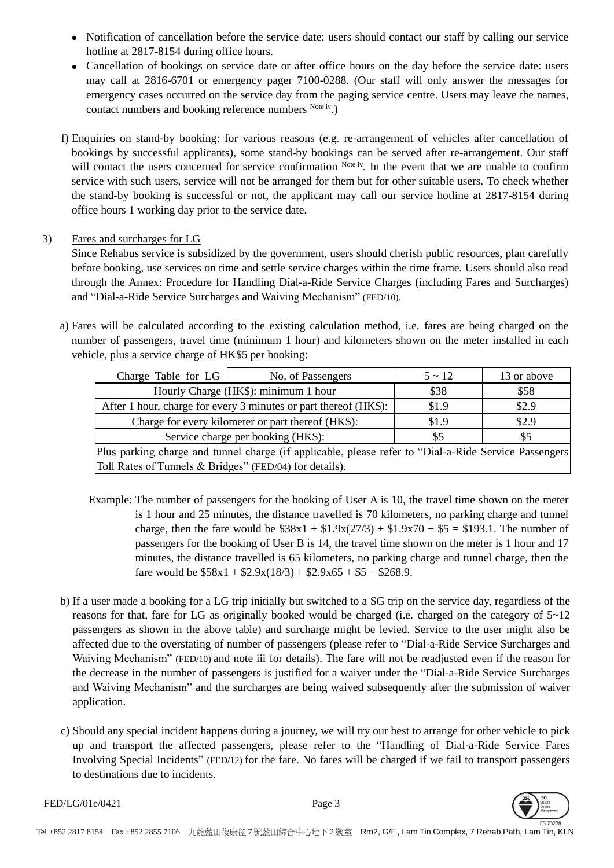- Notification of cancellation before the service date: users should contact our staff by calling our service hotline at 2817-8154 during office hours.
- Cancellation of bookings on service date or after office hours on the day before the service date: users may call at 2816-6701 or emergency pager 7100-0288. (Our staff will only answer the messages for emergency cases occurred on the service day from the paging service centre. Users may leave the names, contact numbers and booking reference numbers Note iv.)
- f) Enquiries on stand-by booking: for various reasons (e.g. re-arrangement of vehicles after cancellation of bookings by successful applicants), some stand-by bookings can be served after re-arrangement. Our staff will contact the users concerned for service confirmation Note iv. In the event that we are unable to confirm service with such users, service will not be arranged for them but for other suitable users. To check whether the stand-by booking is successful or not, the applicant may call our service hotline at 2817-8154 during office hours 1 working day prior to the service date.

## 3) Fares and surcharges for LG

Since Rehabus service is subsidized by the government, users should cherish public resources, plan carefully before booking, use services on time and settle service charges within the time frame. Users should also read through the Annex: Procedure for Handling Dial-a-Ride Service Charges (including Fares and Surcharges) and "Dial-a-Ride Service Surcharges and Waiving Mechanism" (FED/10).

a) Fares will be calculated according to the existing calculation method, i.e. fares are being charged on the number of passengers, travel time (minimum 1 hour) and kilometers shown on the meter installed in each vehicle, plus a service charge of HK\$5 per booking:

| Charge Table for LG                                                                                   | No. of Passengers | $5 \sim 12$ | 13 or above |  |
|-------------------------------------------------------------------------------------------------------|-------------------|-------------|-------------|--|
| Hourly Charge (HK\$): minimum 1 hour                                                                  | \$38              | \$58        |             |  |
| After 1 hour, charge for every 3 minutes or part thereof (HK\$):                                      | \$1.9             | \$2.9       |             |  |
| Charge for every kilometer or part thereof (HK\$):                                                    | \$1.9             | \$2.9       |             |  |
| Service charge per booking (HK\$):                                                                    | \$5               | \$5         |             |  |
| Plus parking charge and tunnel charge (if applicable, please refer to "Dial-a-Ride Service Passengers |                   |             |             |  |
| Toll Rates of Tunnels & Bridges" (FED/04) for details).                                               |                   |             |             |  |

- Example: The number of passengers for the booking of User A is 10, the travel time shown on the meter is 1 hour and 25 minutes, the distance travelled is 70 kilometers, no parking charge and tunnel charge, then the fare would be  $$38x1 + $1.9x(27/3) + $1.9x70 + $5 = $193.1$ . The number of passengers for the booking of User B is 14, the travel time shown on the meter is 1 hour and 17 minutes, the distance travelled is 65 kilometers, no parking charge and tunnel charge, then the fare would be  $$58x1 + $2.9x(18/3) + $2.9x65 + $5 = $268.9$ .
- b) If a user made a booking for a LG trip initially but switched to a SG trip on the service day, regardless of the reasons for that, fare for LG as originally booked would be charged (i.e. charged on the category of 5~12 passengers as shown in the above table) and surcharge might be levied. Service to the user might also be affected due to the overstating of number of passengers (please refer to "Dial-a-Ride Service Surcharges and Waiving Mechanism" (FED/10) and note iii for details). The fare will not be readjusted even if the reason for the decrease in the number of passengers is justified for a waiver under the "Dial-a-Ride Service Surcharges and Waiving Mechanism" and the surcharges are being waived subsequently after the submission of waiver application.
- c) Should any special incident happens during a journey, we will try our best to arrange for other vehicle to pick up and transport the affected passengers, please refer to the "Handling of Dial-a-Ride Service Fares Involving Special Incidents" (FED/12) for the fare. No fares will be charged if we fail to transport passengers to destinations due to incidents.



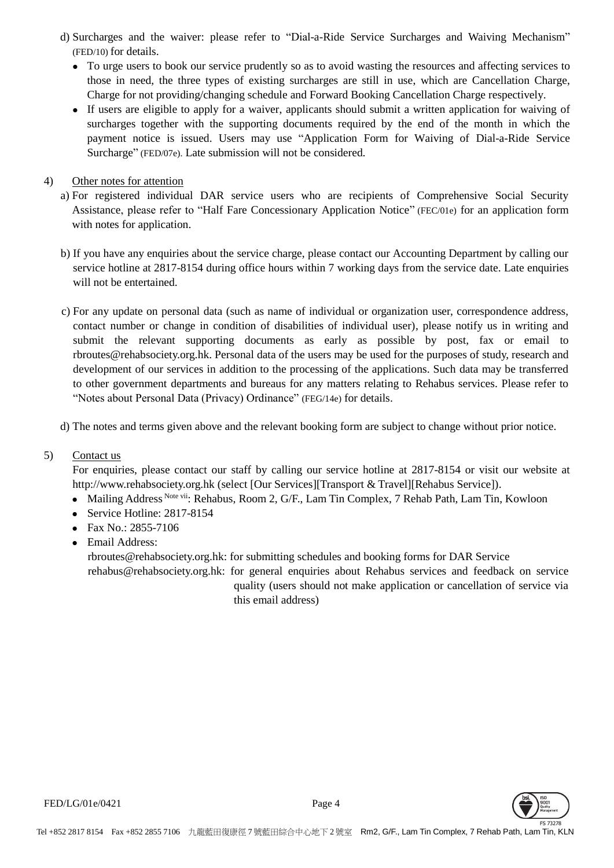- d) Surcharges and the waiver: please refer to "Dial-a-Ride Service Surcharges and Waiving Mechanism" (FED/10) for details.
	- To urge users to book our service prudently so as to avoid wasting the resources and affecting services to those in need, the three types of existing surcharges are still in use, which are Cancellation Charge, Charge for not providing/changing schedule and Forward Booking Cancellation Charge respectively.
	- If users are eligible to apply for a waiver, applicants should submit a written application for waiving of surcharges together with the supporting documents required by the end of the month in which the payment notice is issued. Users may use "Application Form for Waiving of Dial-a-Ride Service Surcharge" (FED/07e). Late submission will not be considered.
- 4) Other notes for attention
	- a) For registered individual DAR service users who are recipients of Comprehensive Social Security Assistance, please refer to "Half Fare Concessionary Application Notice" (FEC/01e) for an application form with notes for application.
	- b) If you have any enquiries about the service charge, please contact our Accounting Department by calling our service hotline at 2817-8154 during office hours within 7 working days from the service date. Late enquiries will not be entertained.
	- c) For any update on personal data (such as name of individual or organization user, correspondence address, contact number or change in condition of disabilities of individual user), please notify us in writing and submit the relevant supporting documents as early as possible by post, fax or email to rbroutes@rehabsociety.org.hk. Personal data of the users may be used for the purposes of study, research and development of our services in addition to the processing of the applications. Such data may be transferred to other government departments and bureaus for any matters relating to Rehabus services. Please refer to "Notes about Personal Data (Privacy) Ordinance" (FEG/14e) for details.
	- d) The notes and terms given above and the relevant booking form are subject to change without prior notice.
- 5) Contact us

For enquiries, please contact our staff by calling our service hotline at 2817-8154 or visit our website at http://www.rehabsociety.org.hk (select [Our Services][Transport & Travel][Rehabus Service]).

- Mailing Address Note vii: Rehabus, Room 2, G/F., Lam Tin Complex, 7 Rehab Path, Lam Tin, Kowloon
- Service Hotline: 2817-8154
- Fax No.: 2855-7106
- Email Address:

rbroutes@rehabsociety.org.hk: for submitting schedules and booking forms for DAR Service [rehabus@rehabsociety.org.hk:](mailto:rehabus@rehabsociety.org.hk) for general enquiries about Rehabus services and feedback on service quality (users should not make application or cancellation of service via this email address)

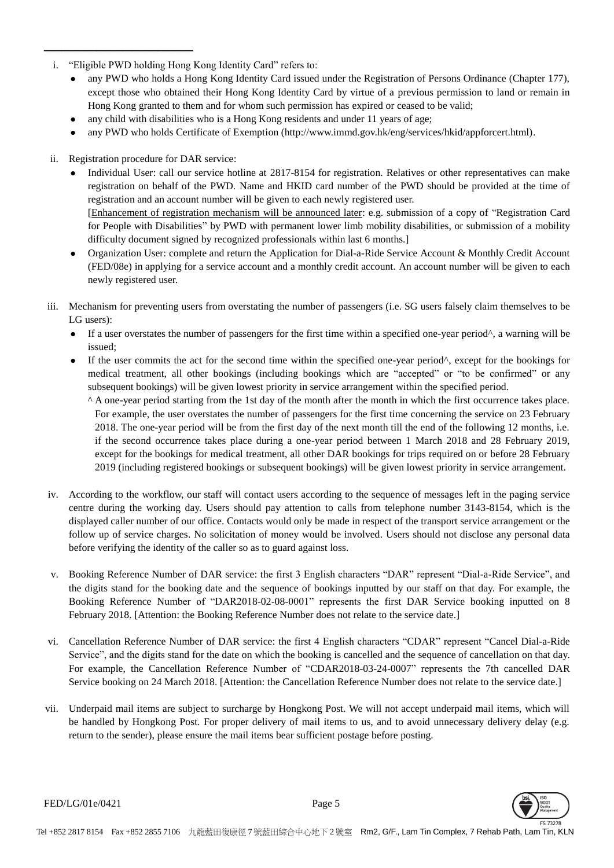- i. "Eligible PWD holding Hong Kong Identity Card" refers to:
	- any PWD who holds a Hong Kong Identity Card issued under the Registration of Persons Ordinance (Chapter 177), except those who obtained their Hong Kong Identity Card by virtue of a previous permission to land or remain in Hong Kong granted to them and for whom such permission has expired or ceased to be valid;
	- any child with disabilities who is a Hong Kong residents and under 11 years of age;
	- any PWD who holds Certificate of Exemption (http://www.immd.gov.hk/eng/services/hkid/appforcert.html).
- ii. Registration procedure for DAR service:

─────────────────

- Individual User: call our service hotline at 2817-8154 for registration. Relatives or other representatives can make registration on behalf of the PWD. Name and HKID card number of the PWD should be provided at the time of registration and an account number will be given to each newly registered user. [Enhancement of registration mechanism will be announced later: e.g. submission of a copy of "Registration Card for People with Disabilities" by PWD with permanent lower limb mobility disabilities, or submission of a mobility difficulty document signed by recognized professionals within last 6 months.]
- Organization User: complete and return the Application for Dial-a-Ride Service Account & Monthly Credit Account (FED/08e) in applying for a service account and a monthly credit account. An account number will be given to each newly registered user.
- iii. Mechanism for preventing users from overstating the number of passengers (i.e. SG users falsely claim themselves to be LG users):
	- If a user overstates the number of passengers for the first time within a specified one-year period^, a warning will be issued;
	- If the user commits the act for the second time within the specified one-year period^, except for the bookings for medical treatment, all other bookings (including bookings which are "accepted" or "to be confirmed" or any subsequent bookings) will be given lowest priority in service arrangement within the specified period.
		- ^ A one-year period starting from the 1st day of the month after the month in which the first occurrence takes place. For example, the user overstates the number of passengers for the first time concerning the service on 23 February 2018. The one-year period will be from the first day of the next month till the end of the following 12 months, i.e. if the second occurrence takes place during a one-year period between 1 March 2018 and 28 February 2019, except for the bookings for medical treatment, all other DAR bookings for trips required on or before 28 February 2019 (including registered bookings or subsequent bookings) will be given lowest priority in service arrangement.
- iv. According to the workflow, our staff will contact users according to the sequence of messages left in the paging service centre during the working day. Users should pay attention to calls from telephone number 3143-8154, which is the displayed caller number of our office. Contacts would only be made in respect of the transport service arrangement or the follow up of service charges. No solicitation of money would be involved. Users should not disclose any personal data before verifying the identity of the caller so as to guard against loss.
- v. Booking Reference Number of DAR service: the first 3 English characters "DAR" represent "Dial-a-Ride Service", and the digits stand for the booking date and the sequence of bookings inputted by our staff on that day. For example, the Booking Reference Number of "DAR2018-02-08-0001" represents the first DAR Service booking inputted on 8 February 2018. [Attention: the Booking Reference Number does not relate to the service date.]
- vi. Cancellation Reference Number of DAR service: the first 4 English characters "CDAR" represent "Cancel Dial-a-Ride Service", and the digits stand for the date on which the booking is cancelled and the sequence of cancellation on that day. For example, the Cancellation Reference Number of "CDAR2018-03-24-0007" represents the 7th cancelled DAR Service booking on 24 March 2018. [Attention: the Cancellation Reference Number does not relate to the service date.]
- vii. Underpaid mail items are subject to surcharge by Hongkong Post. We will not accept underpaid mail items, which will be handled by Hongkong Post. For proper delivery of mail items to us, and to avoid unnecessary delivery delay (e.g. return to the sender), please ensure the mail items bear sufficient postage before posting.

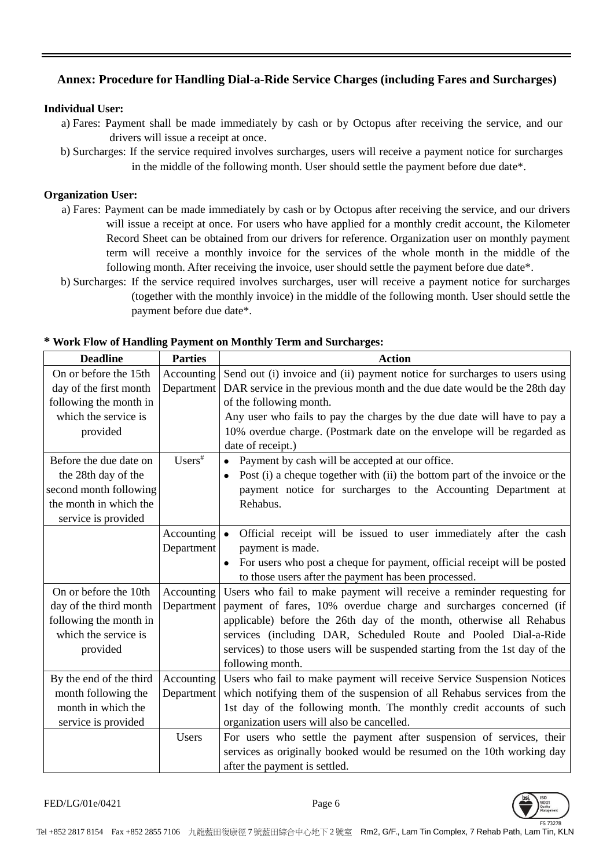# **Annex: Procedure for Handling Dial-a-Ride Service Charges (including Fares and Surcharges)**

## **Individual User:**

- a) Fares: Payment shall be made immediately by cash or by Octopus after receiving the service, and our drivers will issue a receipt at once.
- b) Surcharges: If the service required involves surcharges, users will receive a payment notice for surcharges in the middle of the following month. User should settle the payment before due date\*.

## **Organization User:**

- a) Fares: Payment can be made immediately by cash or by Octopus after receiving the service, and our drivers will issue a receipt at once. For users who have applied for a monthly credit account, the Kilometer Record Sheet can be obtained from our drivers for reference. Organization user on monthly payment term will receive a monthly invoice for the services of the whole month in the middle of the following month. After receiving the invoice, user should settle the payment before due date\*.
- b) Surcharges: If the service required involves surcharges, user will receive a payment notice for surcharges (together with the monthly invoice) in the middle of the following month. User should settle the payment before due date\*.

| <b>Deadline</b>         | <b>Parties</b> | <b>Action</b>                                                                           |
|-------------------------|----------------|-----------------------------------------------------------------------------------------|
| On or before the 15th   | Accounting     | Send out (i) invoice and (ii) payment notice for surcharges to users using              |
| day of the first month  | Department     | DAR service in the previous month and the due date would be the 28th day                |
| following the month in  |                | of the following month.                                                                 |
| which the service is    |                | Any user who fails to pay the charges by the due date will have to pay a                |
| provided                |                | 10% overdue charge. (Postmark date on the envelope will be regarded as                  |
|                         |                | date of receipt.)                                                                       |
| Before the due date on  | $Users^*$      | Payment by cash will be accepted at our office.                                         |
| the 28th day of the     |                | Post (i) a cheque together with (ii) the bottom part of the invoice or the<br>$\bullet$ |
| second month following  |                | payment notice for surcharges to the Accounting Department at                           |
| the month in which the  |                | Rehabus.                                                                                |
| service is provided     |                |                                                                                         |
|                         | Accounting     | Official receipt will be issued to user immediately after the cash<br>$\bullet$         |
|                         | Department     | payment is made.                                                                        |
|                         |                | For users who post a cheque for payment, official receipt will be posted                |
|                         |                | to those users after the payment has been processed.                                    |
| On or before the 10th   | Accounting     | Users who fail to make payment will receive a reminder requesting for                   |
| day of the third month  | Department     | payment of fares, 10% overdue charge and surcharges concerned (if                       |
| following the month in  |                | applicable) before the 26th day of the month, otherwise all Rehabus                     |
| which the service is    |                | services (including DAR, Scheduled Route and Pooled Dial-a-Ride                         |
| provided                |                | services) to those users will be suspended starting from the 1st day of the             |
|                         |                | following month.                                                                        |
| By the end of the third | Accounting     | Users who fail to make payment will receive Service Suspension Notices                  |
| month following the     | Department     | which notifying them of the suspension of all Rehabus services from the                 |
| month in which the      |                | 1st day of the following month. The monthly credit accounts of such                     |
| service is provided     |                | organization users will also be cancelled.                                              |
|                         | Users          | For users who settle the payment after suspension of services, their                    |
|                         |                | services as originally booked would be resumed on the 10th working day                  |
|                         |                | after the payment is settled.                                                           |

### **\* Work Flow of Handling Payment on Monthly Term and Surcharges:**